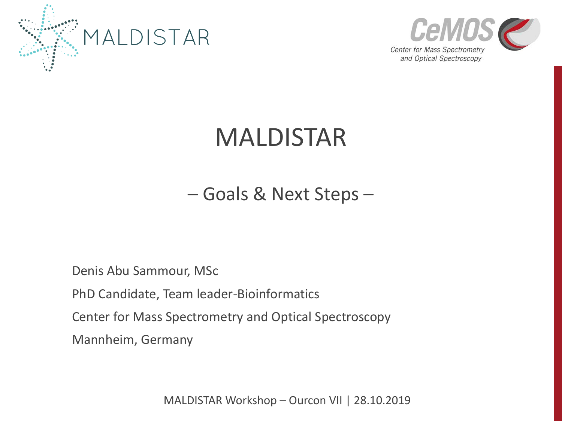



# MALDISTAR

– Goals & Next Steps –

Denis Abu Sammour, MSc

PhD Candidate, Team leader-Bioinformatics

Center for Mass Spectrometry and Optical Spectroscopy

Mannheim, Germany

MALDISTAR Workshop – Ourcon VII | 28.10.2019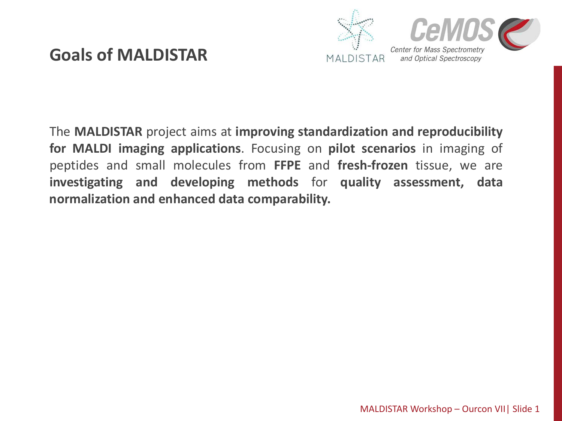## **Goals of MALDISTAR**



The **MALDISTAR** project aims at **improving standardization and reproducibility for MALDI imaging applications**. Focusing on **pilot scenarios** in imaging of peptides and small molecules from **FFPE** and **fresh-frozen** tissue, we are **investigating and developing methods** for **quality assessment, data normalization and enhanced data comparability.**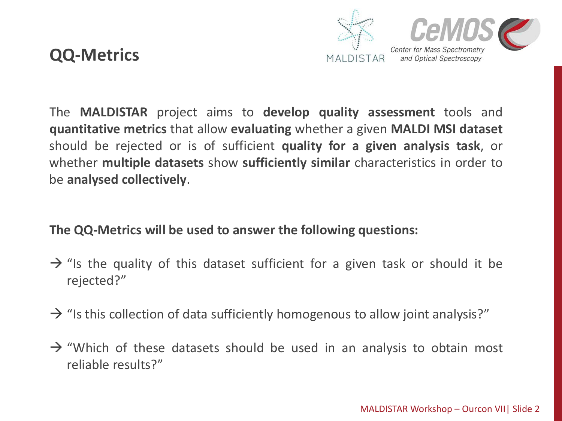



The **MALDISTAR** project aims to **develop quality assessment** tools and **quantitative metrics** that allow **evaluating** whether a given **MALDI MSI dataset** should be rejected or is of sufficient **quality for a given analysis task**, or whether **multiple datasets** show **sufficiently similar** characteristics in order to be **analysed collectively**.

### **The QQ-Metrics will be used to answer the following questions:**

- $\rightarrow$  "Is the quality of this dataset sufficient for a given task or should it be rejected?"
- $\rightarrow$  "Is this collection of data sufficiently homogenous to allow joint analysis?"
- $\rightarrow$  "Which of these datasets should be used in an analysis to obtain most reliable results?"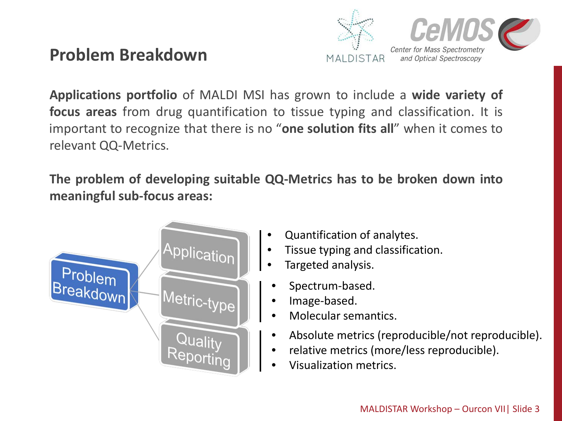### **Problem Breakdown**



**Applications portfolio** of MALDI MSI has grown to include a **wide variety of focus areas** from drug quantification to tissue typing and classification. It is important to recognize that there is no "**one solution fits all**" when it comes to relevant QQ-Metrics.

**The problem of developing suitable QQ-Metrics has to be broken down into meaningful sub-focus areas:**



- Quantification of analytes.
- Tissue typing and classification.
- Targeted analysis.
- Spectrum-based.
- Image-based.
- Molecular semantics.
- Absolute metrics (reproducible/not reproducible).
- relative metrics (more/less reproducible).
- Visualization metrics.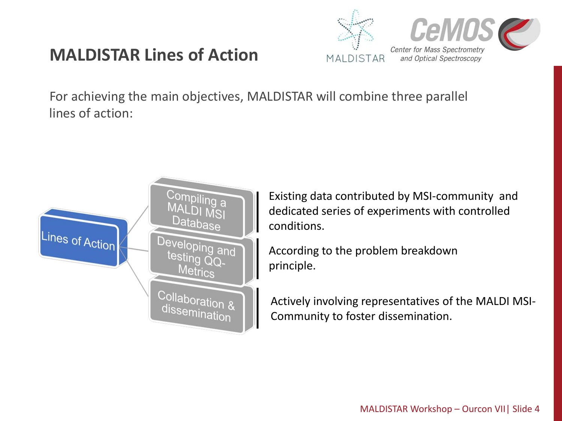## **MALDISTAR Lines of Action**



For achieving the main objectives, MALDISTAR will combine three parallel lines of action:



Existing data contributed by MSI-community and dedicated series of experiments with controlled conditions.

According to the problem breakdown principle.

Actively involving representatives of the MALDI MSI-Community to foster dissemination.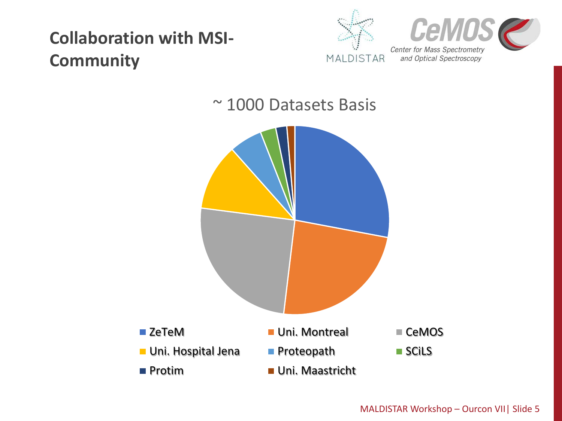## **Collaboration with MSI-Community**



## ~ 1000 Datasets Basis

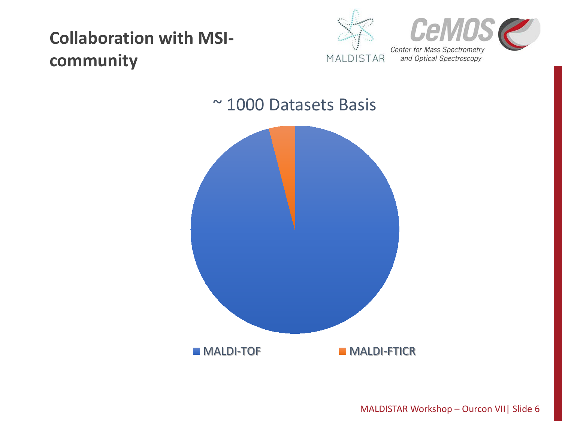## **Collaboration with MSIcommunity**



## ~ 1000 Datasets Basis



MALDISTAR Workshop – Ourcon VII| Slide 6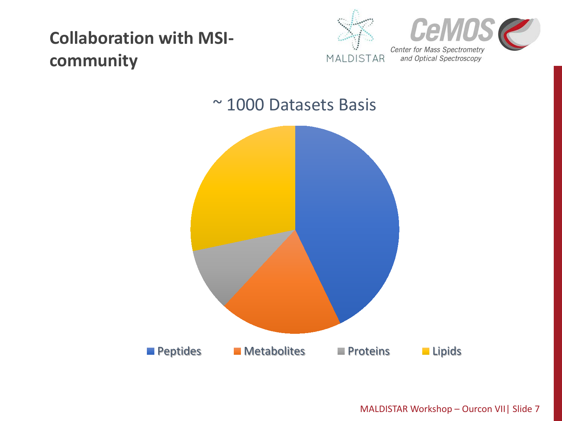## **Collaboration with MSIcommunity**



### ~ 1000 Datasets Basis



MALDISTAR Workshop – Ourcon VII| Slide 7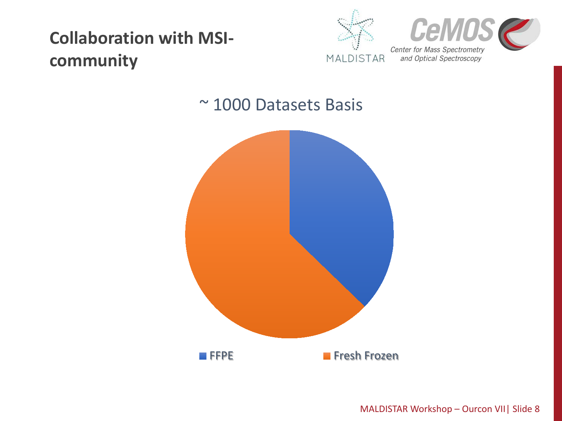## **Collaboration with MSIcommunity**



### ~ 1000 Datasets Basis



MALDISTAR Workshop – Ourcon VII| Slide 8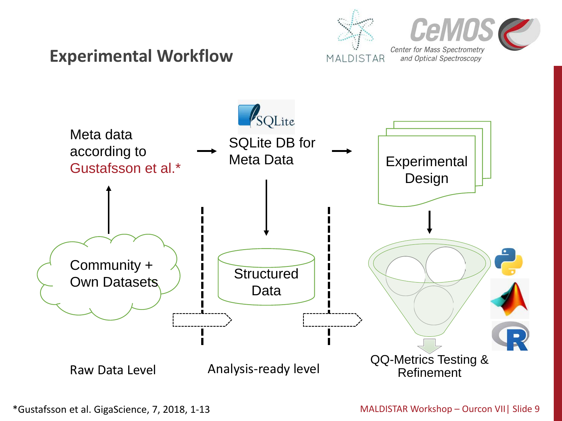## **Center for Mass Spectrometry Experimental Workflow** MALDISTAR



and Optical Spectroscopy